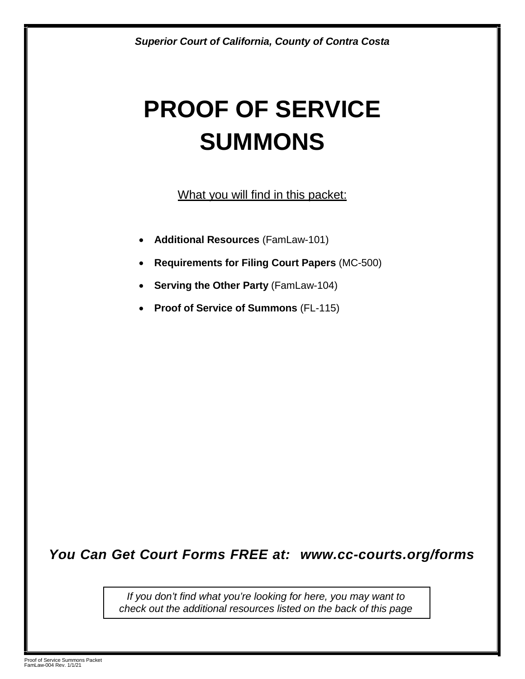# **PROOF OF SERVICE SUMMONS**

What you will find in this packet:

- **Additional Resources** (FamLaw-101)
- **Requirements for Filing Court Papers** (MC-500)
- **Serving the Other Party** (FamLaw-104)
- **Proof of Service of Summons** (FL-115)

### *You Can Get Court Forms FREE at: [www.cc-courts.org/forms](http://www.cc-courts.org/forms)*

*If you don't find what you're looking for here, you may want to check out the additional resources listed on the back of this page*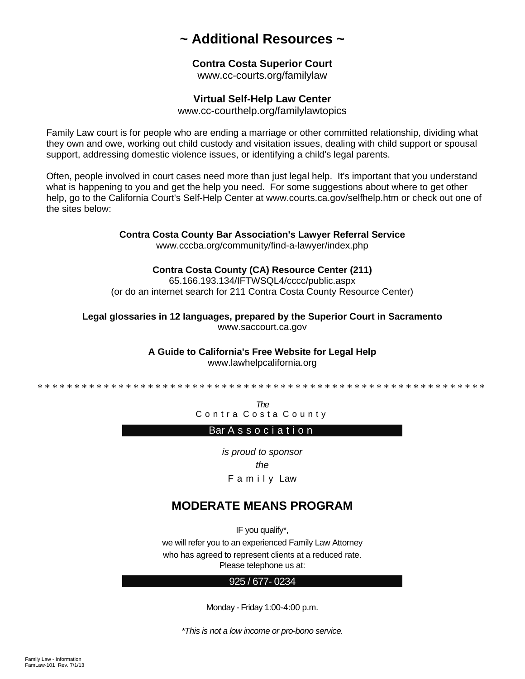### **~ Additional Resources ~**

### **Contra Costa Superior Court**

www.cc-courts.org/familylaw

### **Virtual Self-Help Law Center**

www[.cc-courthelp.org/familylawtopics](http://cc-courthelp.org/familylawtopics) 

Family Law court is for people who are ending a marriage or other committed relationship, dividing what they own and owe, working out child custody and visitation issues, dealing with child support or spousal support, addressing domestic violence issues, or identifying a child's legal parents.

Often, people involved in court cases need more than just legal help. It's important that you understand what is happening to you and get the help you need. For some suggestions about where to get other help, go to the California Court's Self-Help Center at www.courts.ca.gov/selfhelp.htm or check out one of the sites below:

### **Contra Costa County Bar Association's Lawyer Referral Service**

www.cccba.org/community/find-a-lawyer/index.php

#### **Contra Costa County (CA) Resource Center (211)**

65.166.193.134/IFTWSQL4/cccc/public.aspx (or do an internet search for 211 Contra Costa County Resource Center)

**Legal glossaries in 12 languages, prepared by the Superior Court in Sacramento**  www.saccourt.ca.gov

**A Guide to California's Free Website for Legal Help** 

www.lawhelpcalifornia.org

\*\*\*\*\*\*\*\*\*\*\*\*\*\*\*\*\*\*\*\*\*\*\*\*\*\*\*\*\*\*\*\*\*\*\*\*\*\*\*\*\*\* \*\*\*\*\*\*\*\*\*\*\*\*\*\*\*\*\*\*\*

*The*

Contra Costa County

### Bar A s s o c i a t i o n

*is proud to sponsor the* F a m i l y Law

### **MODERATE MEANS PROGRAM**

IF you qualify\*, we will refer you to an experienced Family Law Attorney who has agreed to represent clients at a reduced rate. Please telephone us at:

#### 925 / 677- 0234

Monday - Friday 1:00-4:00 p.m.

*\*This is not a low income or pro-bono service.*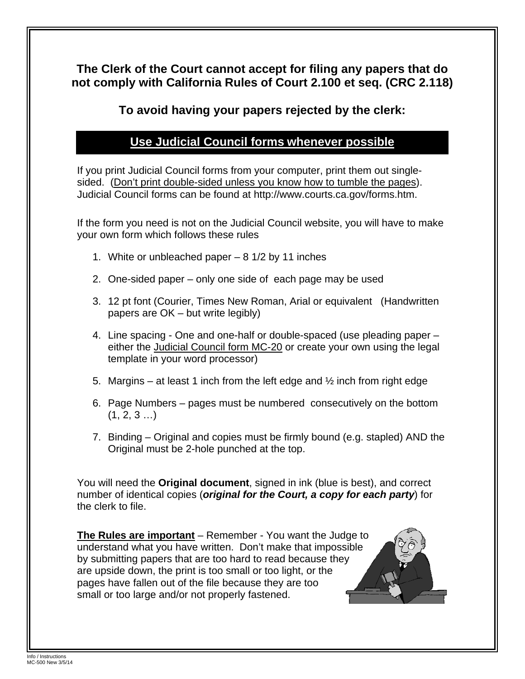**The Clerk of the Court cannot accept for filing any papers that do not comply with California Rules of Court 2.100 et seq. (CRC 2.118)** 

**To avoid having your papers rejected by the clerk:** 

### **Use Judicial Council forms whenever possible**

If you print Judicial Council forms from your computer, print them out singlesided. (Don't print double-sided unless you know how to tumble the pages). Judicial Council forms can be found at http://www.courts.ca.gov/forms.htm.

If the form you need is not on the Judicial Council website, you will have to make your own form which follows these rules

- 1. White or unbleached paper 8 1/2 by 11 inches
- 2. One-sided paper only one side of each page may be used
- 3. 12 pt font (Courier, Times New Roman, Arial or equivalent (Handwritten papers are OK – but write legibly)
- 4. Line spacing One and one-half or double-spaced (use pleading paper either the Judicial Council form MC-20 or create your own using the legal template in your word processor)
- 5. Margins at least 1 inch from the left edge and  $\frac{1}{2}$  inch from right edge
- 6. Page Numbers pages must be numbered consecutively on the bottom  $(1, 2, 3 ...)$
- 7. Binding Original and copies must be firmly bound (e.g. stapled) AND the Original must be 2-hole punched at the top.

You will need the **Original document**, signed in ink (blue is best), and correct number of identical copies (*original for the Court, a copy for each party*) for the clerk to file.

**The Rules are important** – Remember - You want the Judge to understand what you have written. Don't make that impossible by submitting papers that are too hard to read because they are upside down, the print is too small or too light, or the pages have fallen out of the file because they are too small or too large and/or not properly fastened.

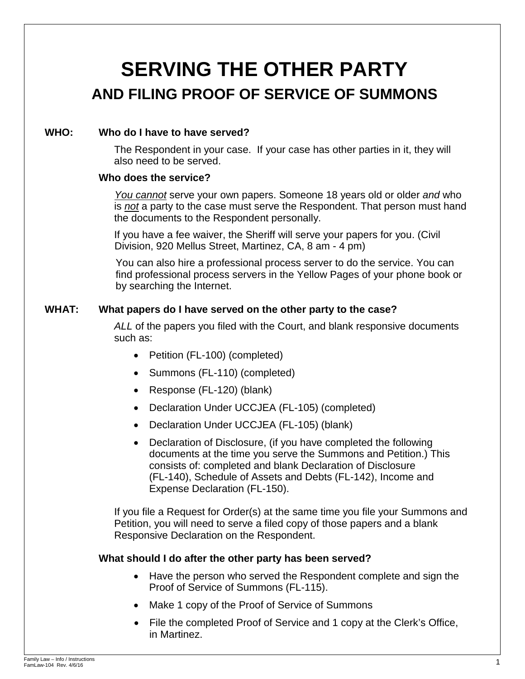## **SERVING THE OTHER PARTY AND FILING PROOF OF SERVICE OF SUMMONS**

### **WHO: Who do I have to have served?**

The Respondent in your case. If your case has other parties in it, they will also need to be served.

#### **Who does the service?**

*You cannot* serve your own papers. Someone 18 years old or older *and* who is *not* a party to the case must serve the Respondent. That person must hand the documents to the Respondent personally.

If you have a fee waiver, the Sheriff will serve your papers for you. (Civil Division, 920 Mellus Street, Martinez, CA, 8 am - 4 pm)

You can also hire a professional process server to do the service. You can find professional process servers in the Yellow Pages of your phone book or by searching the Internet.

### **WHAT: What papers do I have served on the other party to the case?**

*ALL* of the papers you filed with the Court, and blank responsive documents such as:

- Petition (FL-100) (completed)
- Summons (FL-110) (completed)
- Response (FL-120) (blank)
- Declaration Under UCCJEA (FL-105) (completed)
- Declaration Under UCCJEA (FL-105) (blank)
- Declaration of Disclosure, (if you have completed the following documents at the time you serve the Summons and Petition.) This consists of: completed and blank Declaration of Disclosure (FL-140), Schedule of Assets and Debts (FL-142), Income and Expense Declaration (FL-150).

If you file a Request for Order(s) at the same time you file your Summons and Petition, you will need to serve a filed copy of those papers and a blank Responsive Declaration on the Respondent.

### **What should I do after the other party has been served?**

- Have the person who served the Respondent complete and sign the Proof of Service of Summons (FL-115).
- Make 1 copy of the Proof of Service of Summons
- File the completed Proof of Service and 1 copy at the Clerk's Office, in Martinez.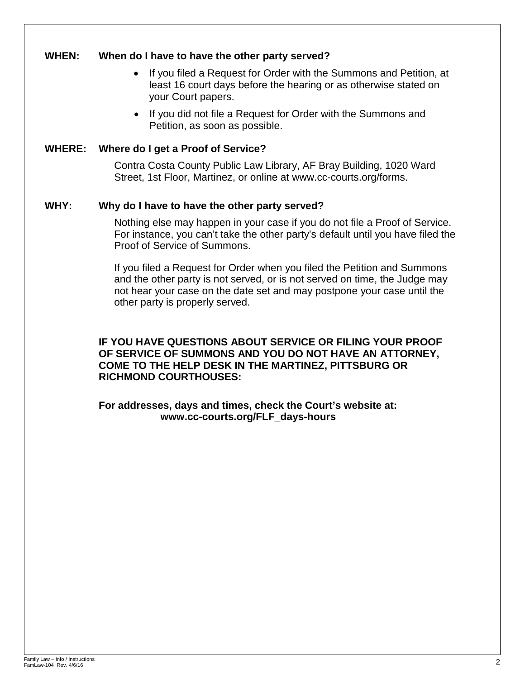### **WHEN: When do I have to have the other party served?**

- If you filed a Request for Order with the Summons and Petition, at least 16 court days before the hearing or as otherwise stated on your Court papers.
- If you did not file a Request for Order with the Summons and Petition, as soon as possible.

### **WHERE: Where do I get a Proof of Service?**

Contra Costa County Public Law Library, AF Bray Building, 1020 Ward Street, 1st Floor, Martinez, or online at www.cc-courts.org/forms.

### **WHY: Why do I have to have the other party served?**

Nothing else may happen in your case if you do not file a Proof of Service. For instance, you can't take the other party's default until you have filed the Proof of Service of Summons.

If you filed a Request for Order when you filed the Petition and Summons and the other party is not served, or is not served on time, the Judge may not hear your case on the date set and may postpone your case until the other party is properly served.

**IF YOU HAVE QUESTIONS ABOUT SERVICE OR FILING YOUR PROOF OF SERVICE OF SUMMONS AND YOU DO NOT HAVE AN ATTORNEY, COME TO THE HELP DESK IN THE MARTINEZ, PITTSBURG OR RICHMOND COURTHOUSES:**

**For addresses, days and times, check the Court's website at: www.cc-courts.org/FLF\_days-hours**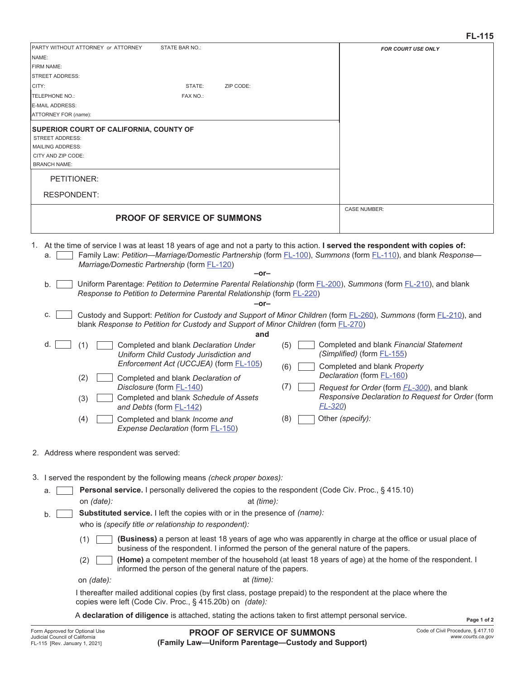| PARTY WITHOUT ATTORNEY or ATTORNEY<br>STATE BAR NO.:<br>NAME:                                                                                                                                                                                                                                                 | <b>FOR COURT USE ONLY</b>                                                                               |
|---------------------------------------------------------------------------------------------------------------------------------------------------------------------------------------------------------------------------------------------------------------------------------------------------------------|---------------------------------------------------------------------------------------------------------|
| FIRM NAME:                                                                                                                                                                                                                                                                                                    |                                                                                                         |
| <b>STREET ADDRESS:</b>                                                                                                                                                                                                                                                                                        |                                                                                                         |
| STATE:<br>ZIP CODE:<br>CITY:                                                                                                                                                                                                                                                                                  |                                                                                                         |
| TELEPHONE NO.:<br>FAX NO.:<br>E-MAIL ADDRESS:                                                                                                                                                                                                                                                                 |                                                                                                         |
| ATTORNEY FOR (name):                                                                                                                                                                                                                                                                                          |                                                                                                         |
| SUPERIOR COURT OF CALIFORNIA, COUNTY OF                                                                                                                                                                                                                                                                       |                                                                                                         |
| <b>STREET ADDRESS:</b><br><b>MAILING ADDRESS:</b>                                                                                                                                                                                                                                                             |                                                                                                         |
| CITY AND ZIP CODE:                                                                                                                                                                                                                                                                                            |                                                                                                         |
| <b>BRANCH NAME:</b>                                                                                                                                                                                                                                                                                           |                                                                                                         |
| PETITIONER:                                                                                                                                                                                                                                                                                                   |                                                                                                         |
| <b>RESPONDENT:</b>                                                                                                                                                                                                                                                                                            | <b>CASE NUMBER:</b>                                                                                     |
| <b>PROOF OF SERVICE OF SUMMONS</b>                                                                                                                                                                                                                                                                            |                                                                                                         |
| 1. At the time of service I was at least 18 years of age and not a party to this action. I served the respondent with copies of:<br>Family Law: Petition—Marriage/Domestic Partnership (form FL-100), Summons (form FL-110), and blank Response—<br>a.<br>Marriage/Domestic Partnership (form FL-120)<br>-or- |                                                                                                         |
| Uniform Parentage: Petition to Determine Parental Relationship (form FL-200), Summons (form FL-210), and blank<br>b.                                                                                                                                                                                          |                                                                                                         |
| Response to Petition to Determine Parental Relationship (form FL-220)<br>$-0r-$                                                                                                                                                                                                                               |                                                                                                         |
| Custody and Support: Petition for Custody and Support of Minor Children (form FL-260), Summons (form FL-210), and<br>C.<br>blank Response to Petition for Custody and Support of Minor Children (form FL-270)<br>and                                                                                          |                                                                                                         |
| d.<br>Completed and blank Declaration Under<br>(5)<br>(1)<br>Uniform Child Custody Jurisdiction and<br>Enforcement Act (UCCJEA) (form FL-105)                                                                                                                                                                 | Completed and blank Financial Statement<br>(Simplified) (form FL-155)                                   |
| (6)<br>(2)<br>Completed and blank Declaration of                                                                                                                                                                                                                                                              | Completed and blank Property<br>Declaration (form FL-160)                                               |
| (7)<br>Disclosure (form FL-140)<br>Completed and blank Schedule of Assets<br>(3)<br>$FL-320$<br>and Debts (form FL-142)                                                                                                                                                                                       | Request for Order (form <i>FL-300</i> ), and blank<br>Responsive Declaration to Request for Order (form |
| (8)<br>Completed and blank Income and<br>(4)<br>Expense Declaration (form FL-150)                                                                                                                                                                                                                             | Other (specify):                                                                                        |
| 2. Address where respondent was served:                                                                                                                                                                                                                                                                       |                                                                                                         |
|                                                                                                                                                                                                                                                                                                               |                                                                                                         |
| 3. I served the respondent by the following means (check proper boxes):                                                                                                                                                                                                                                       |                                                                                                         |
| <b>Personal service.</b> I personally delivered the copies to the respondent (Code Civ. Proc., § 415.10)<br>a.<br>on (date):<br>at (time):                                                                                                                                                                    |                                                                                                         |
| Substituted service. I left the copies with or in the presence of (name):<br>b.<br>who is (specify title or relationship to respondent):                                                                                                                                                                      |                                                                                                         |
| (Business) a person at least 18 years of age who was apparently in charge at the office or usual place of<br>(1)<br>business of the respondent. I informed the person of the general nature of the papers.                                                                                                    |                                                                                                         |
| (Home) a competent member of the household (at least 18 years of age) at the home of the respondent. I<br>(2)<br>informed the person of the general nature of the papers.                                                                                                                                     |                                                                                                         |
| at (time):<br>on (date):<br>I thereafter mailed additional copies (by first class, postage prepaid) to the respondent at the place where the                                                                                                                                                                  |                                                                                                         |
| copies were left (Code Civ. Proc., § 415.20b) on (date):                                                                                                                                                                                                                                                      |                                                                                                         |
| A declaration of diligence is attached, stating the actions taken to first attempt personal service.                                                                                                                                                                                                          | Page 1 of 2                                                                                             |